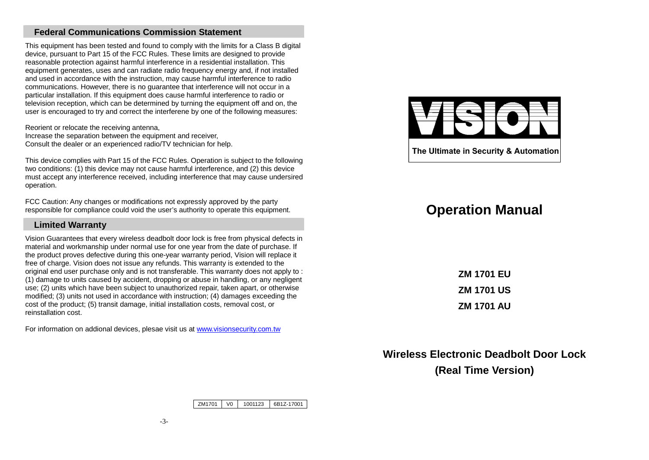## **Federal Communications Commission Statement**

This equipment has been tested and found to comply with the limits for a Class B digital device, pursuant to Part 15 of the FCC Rules. These limits are designed to provide reasonable protection against harmful interference in a residential installation. This equipment generates, uses and can radiate radio frequency energy and, if not installed and used in accordance with the instruction, may cause harmful interference to radio communications. However, there is no guarantee that interference will not occur in a particular installation. If this equipment does cause harmful interference to radio or television reception, which can be determined by turning the equipment off and on, the user is encouraged to try and correct the interferene by one of the following measures:

Reorient or relocate the receiving antenna, Increase the separation between the equipment and receiver, Consult the dealer or an experienced radio/TV technician for help.

This device complies with Part 15 of the FCC Rules. Operation is subject to the following two conditions: (1) this device may not cause harmful interference, and (2) this device must accept any interference received, including interference that may cause undersired operation.

FCC Caution: Any changes or modifications not expressly approved by the party responsible for compliance could void the user's authority to operate this equipment.

#### **Limited Warranty**

Vision Guarantees that every wireless deadbolt door lock is free from physical defects in material and workmanship under normal use for one year from the date of purchase. If the product proves defective during this one-year warranty period, Vision will replace it free of charge. Vision does not issue any refunds. This warranty is extended to the original end user purchase only and is not transferable. This warranty does not apply to : (1) damage to units caused by accident, dropping or abuse in handling, or any negligent use; (2) units which have been subject to unauthorized repair, taken apart, or otherwise modified; (3) units not used in accordance with instruction; (4) damages exceeding the cost of the product; (5) transit damage, initial installation costs, removal cost, or reinstallation cost.

For information on addional devices, plesae visit us at www.visionsecurity.com.tw



The Ultimate in Security & Automation

# **Operation Manual**

**ZM 1701 EU ZM 1701 US ZM 1701 AU** 

**Wireless Electronic Deadbolt Door Lock (Real Time Version)** 

ZM1701V0 <sup>1001123</sup> 6B1Z-17001